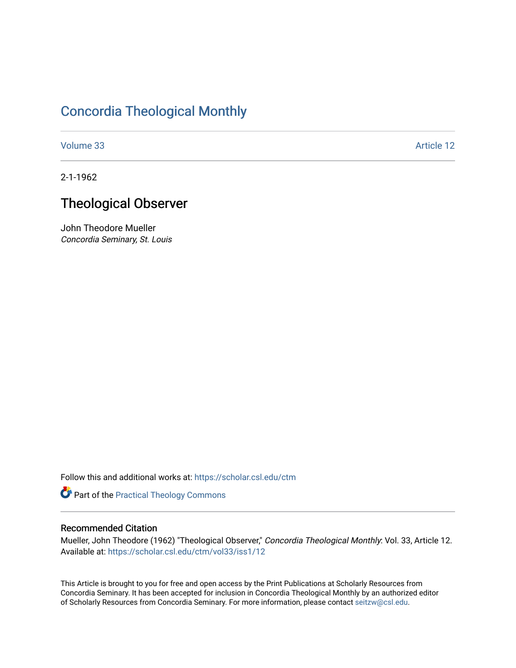## [Concordia Theological Monthly](https://scholar.csl.edu/ctm)

[Volume 33](https://scholar.csl.edu/ctm/vol33) Article 12

2-1-1962

# Theological Observer

John Theodore Mueller Concordia Seminary, St. Louis

Follow this and additional works at: [https://scholar.csl.edu/ctm](https://scholar.csl.edu/ctm?utm_source=scholar.csl.edu%2Fctm%2Fvol33%2Fiss1%2F12&utm_medium=PDF&utm_campaign=PDFCoverPages)

Part of the [Practical Theology Commons](http://network.bepress.com/hgg/discipline/1186?utm_source=scholar.csl.edu%2Fctm%2Fvol33%2Fiss1%2F12&utm_medium=PDF&utm_campaign=PDFCoverPages)

### Recommended Citation

Mueller, John Theodore (1962) "Theological Observer," Concordia Theological Monthly: Vol. 33, Article 12. Available at: [https://scholar.csl.edu/ctm/vol33/iss1/12](https://scholar.csl.edu/ctm/vol33/iss1/12?utm_source=scholar.csl.edu%2Fctm%2Fvol33%2Fiss1%2F12&utm_medium=PDF&utm_campaign=PDFCoverPages) 

This Article is brought to you for free and open access by the Print Publications at Scholarly Resources from Concordia Seminary. It has been accepted for inclusion in Concordia Theological Monthly by an authorized editor of Scholarly Resources from Concordia Seminary. For more information, please contact [seitzw@csl.edu](mailto:seitzw@csl.edu).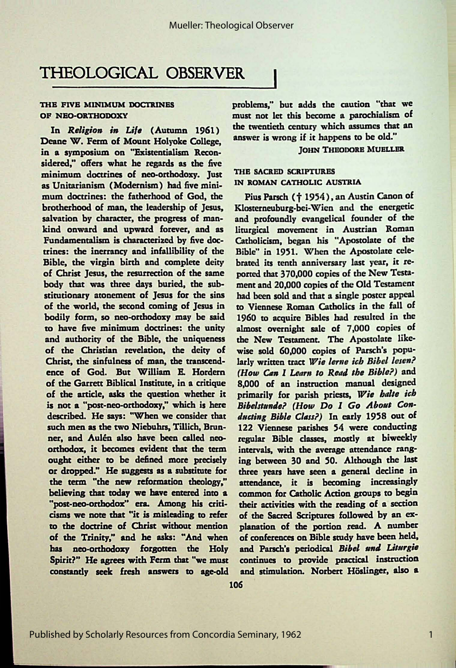### THEOLOGICAL OBSERVER

#### THE FIVE MINIMUM DOCTRINES OF NEO-ORTHODOXY

In *Religion in Life* (Autumn 1961) Deane W. Ferm of Mount Holvoke College, in a symposium on "Existentialism Reconsidered," offers what he regards as the five minimum doctrines of neo-orthodoxy. Just as Unitarianism (Modernism) had five minimum doctrines: the fatherhood of God, the brotherhood of man, the leadership of Jesus, salvation by character, the progress of mankind onward and upward forever, and as Fundamentalism is characterized by five doctrines: the inerrancy and infallibility of the Bible, the virgin birth and complete deity of Christ Jesus, the resurrection of the same body that was three days buried, the substitutionary atonement of Jesus for the sins of the world, the second coming of Jesus in bodily form, so neo-orthodoxy may be said to have five minimum doctrines: the unity and authority of the Bible, the uniqueness of the Christian revelation, the deity of Christ, the sinfulness of **man,** the transcendence of God. But **William** E. Hordern of the Garrett Biblical Institute, in a critique of the article, asks the question whether it is not a "'post-neo-orthodoxy,"' which is here described. He says: "When we consider that such men as the two Niebuhrs, Tillich, Brunner, and Aulén also have been called neoorthodox, it becomes evident that the term ought either to be defined more precisely or dropped." He suggests as a substitute for the term "the new reformation theology," believing that today we have entered into **a**  "post-neo-orthodox" era. Among his criticisms we note that "it is misleading to refer to the doctrine of Christ without mention of the Trinity," and be asks: "And when has neo-orthodoxy forgotten the Holy Spirit?" He agrees with Ferm that "we must constantly seek fresh answers to age-old

problems," but adds the caution *"that* we must *not* ler this become a parochialism of the twentieth century which assumes that an **answer is** wrong if it happens to be old."'

#### **JOHN THEODORE MUELLER**

#### THE SACRED SCRIPTURES IN ROMAN CATHOLIC AUSTRIA

Pius Parsch († 1954), an Austin Canon of Klosterneuburg-bei-Wien and the energetic and profoundly evangelical founder of the liturgical movement in Austrian Roman Catholicism, began his "Apostolate of the Bible" in 1951. When the Apostolate celebrated its tenth anniversary last year, it reported that 370,000 copies of the New Testament and 20,000 copies of the Old Testament had been sold and that a single poster appeal to Viennese Roman Catholics in the fall of 1960 to acquire Bibles had resulted in the almost overnight sale of 7,000 copies of the New Testament. The Apostolate likewise sold 60,000 copies of Parsch's popularly written tract *Wie lerne ich Bibel lesen? (How Can I Learn to Read the Bible?)* and 8,000 of an instruction manual designed primarily for parish priests, *Wie balte ich* Bibelstunde? (How Do I Go About Con*ducting Bible Class?*) In early 1958 out of 122 Viennese parishes 54 were conducting regular Bible classes, mostly at biweekly intervals, with the average attendance ranging between 30 and *50.* Although the last three years have seen a general decline in **attendance,** it is becoming increasingly common for Catholic Action groups to begin their activities with the reading of a section of the Sacred Scriptures followed by an explanation of the portion read. A number of conferences on Bible study have been held, and Parsch's periodical *Bibel und Liturgie* continues to provide practical instruction and stimulation. Norbert Höslinger, also a